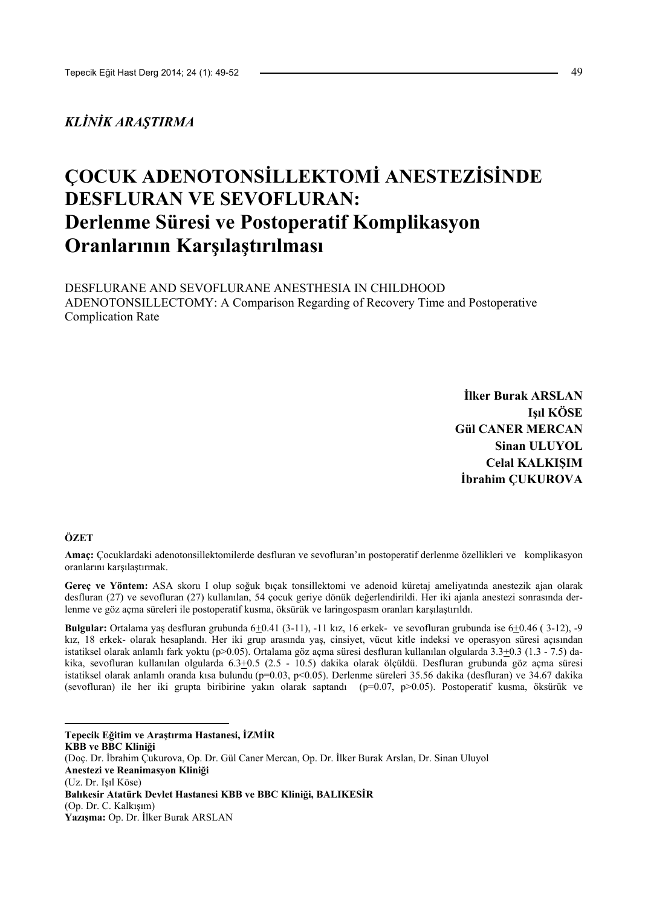# *KLİNİK ARAŞTIRMA*

# **ÇOCUK ADENOTONSİLLEKTOMİ ANESTEZİSİNDE DESFLURAN VE SEVOFLURAN: Derlenme Süresi ve Postoperatif Komplikasyon Oranlarının Karşılaştırılması**

DESFLURANE AND SEVOFLURANE ANESTHESIA IN CHILDHOOD ADENOTONSILLECTOMY: A Comparison Regarding of Recovery Time and Postoperative Complication Rate

> **İlker Burak ARSLAN Işıl KÖSE Gül CANER MERCAN Sinan ULUYOL Celal KALKIŞIM İbrahim ÇUKUROVA**

#### **ÖZET**

 $\overline{a}$ 

**Amaç:** Çocuklardaki adenotonsillektomilerde desfluran ve sevofluran'ın postoperatif derlenme özellikleri ve komplikasyon oranlarını karşılaştırmak.

**Gereç ve Yöntem:** ASA skoru I olup soğuk bıçak tonsillektomi ve adenoid küretaj ameliyatında anestezik ajan olarak desfluran (27) ve sevofluran (27) kullanılan, 54 çocuk geriye dönük değerlendirildi. Her iki ajanla anestezi sonrasında derlenme ve göz açma süreleri ile postoperatif kusma, öksürük ve laringospasm oranları karşılaştırıldı.

**Bulgular:** Ortalama yaş desfluran grubunda 6 $\pm$ 0.41 (3-11), -11 kız, 16 erkek- ve sevofluran grubunda ise 6 $\pm$ 0.46 (3-12), -9 kız, 18 erkek- olarak hesaplandı. Her iki grup arasında yaş, cinsiyet, vücut kitle indeksi ve operasyon süresi açısından istatiksel olarak anlamlı fark yoktu (p>0.05). Ortalama göz açma süresi desfluran kullanılan olgularda 3.3+0.3 (1.3 - 7.5) dakika, sevofluran kullanılan olgularda 6.3+0.5 (2.5 - 10.5) dakika olarak ölçüldü. Desfluran grubunda göz açma süresi istatiksel olarak anlamlı oranda kısa bulundu (p=0.03, p<0.05). Derlenme süreleri 35.56 dakika (desfluran) ve 34.67 dakika (sevofluran) ile her iki grupta biribirine yakın olarak saptandı (p=0.07, p>0.05). Postoperatif kusma, öksürük ve

<span id="page-0-0"></span>**Tepecik Eğitim ve Araştırma Hastanesi, İZMİR KBB ve BBC Kliniği**  (Doç. Dr. İbrahim Çukurova, Op. Dr. Gül Caner Mercan, Op. Dr. İlker Burak Arslan, Dr. Sinan Uluyol **Anestezi ve Reanimasyon Kliniği**  (Uz. Dr. Işıl Köse) **Balıkesir Atatürk Devlet Hastanesi KBB ve BBC Kliniği, BALIKESİR**  (Op. Dr. C. Kalkışım) **Yazışma:** Op. Dr. İlker Burak ARSLAN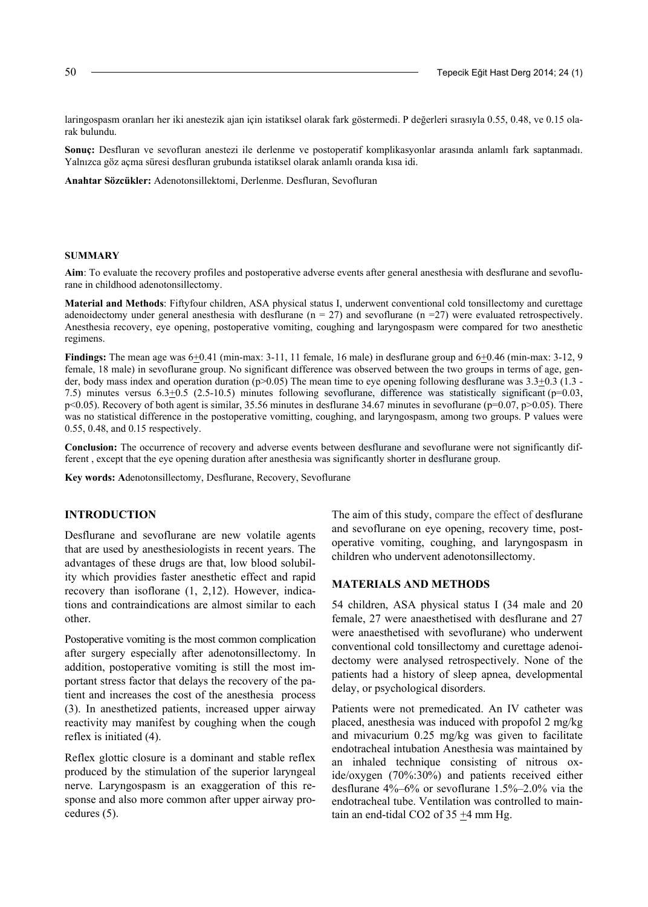laringospasm oranları her iki anestezik ajan için istatiksel olarak fark göstermedi. P değerleri sırasıyla 0.55, 0.48, ve 0.15 olarak bulundu.

**Sonuç:** Desfluran ve sevofluran anestezi ile derlenme ve postoperatif komplikasyonlar arasında anlamlı fark saptanmadı. Yalnızca göz açma süresi desfluran grubunda istatiksel olarak anlamlı oranda kısa idi.

**Anahtar Sözcükler:** Adenotonsillektomi, Derlenme. Desfluran, Sevofluran

#### **SUMMARY**

**Aim**: To evaluate the recovery profiles and postoperative adverse events after general anesthesia with desflurane and sevoflurane in childhood adenotonsillectomy.

**Material and Methods**: Fiftyfour children, ASA physical status I, underwent conventional cold tonsillectomy and curettage adenoidectomy under general anesthesia with desflurane  $(n = 27)$  and sevoflurane  $(n = 27)$  were evaluated retrospectively. Anesthesia recovery, eye opening, postoperative vomiting, coughing and laryngospasm were compared for two anesthetic regimens.

**Findings:** The mean age was 6+0.41 (min-max: 3-11, 11 female, 16 male) in desflurane group and 6+0.46 (min-max: 3-12, 9 female, 18 male) in sevoflurane group. No significant difference was observed between the two groups in terms of age, gender, body mass index and operation duration ( $p > 0.05$ ) The mean time to eye opening following desflurane was 3.3+0.3 (1.3 -7.5) minutes versus  $6.3+0.5$  (2.5-10.5) minutes following sevoflurane, difference was statistically significant ( $p=0.03$ , p<0.05). Recovery of both agent is similar, 35.56 minutes in desflurane 34.67 minutes in sevoflurane (p=0.07, p>0.05). There was no statistical difference in the postoperative vomitting, coughing, and laryngospasm, among two groups. P values were 0.55, 0.48, and 0.15 respectively.

**Conclusion:** The occurrence of recovery and adverse events between desflurane and sevoflurane were not significantly different , except that the eye opening duration after anesthesia was significantly shorter in desflurane group.

**Key words: A**denotonsillectomy, Desflurane, Recovery, Sevoflurane

# **INTRODUCTION**

Desflurane and sevoflurane are new volatile agents that are used by anesthesiologists in recent years. The advantages of these drugs are that, low blood solubility which providies faster anesthetic effect and rapid recovery than isoflorane (1, 2,12). However, indications and contraindications are almost similar to each other.

Postoperative vomiting is the most common complication after surgery especially after adenotonsillectomy. In addition, postoperative vomiting is still the most important stress factor that delays the recovery of the patient and increases the cost of the anesthesia process (3). In anesthetized patients, increased upper airway reactivity may manifest by coughing when the cough reflex is initiated (4).

Reflex glottic closure is a dominant and stable reflex produced by the stimulation of the superior laryngeal nerve. Laryngospasm is an exaggeration of this response and also more common after upper airway procedures (5).

The aim of this study, compare the effect of desflurane and sevoflurane on eye opening, recovery time, postoperative vomiting, coughing, and laryngospasm in children who undervent adenotonsillectomy.

### **MATERIALS AND METHODS**

54 children, ASA physical status I (34 male and 20 female, 27 were anaesthetised with desflurane and 27 were anaesthetised with sevoflurane) who underwent conventional cold tonsillectomy and curettage adenoidectomy were analysed retrospectively. None of the patients had a history of sleep apnea, developmental delay, or psychological disorders.

Patients were not premedicated. An IV catheter was placed, anesthesia was induced with propofol 2 mg/kg and mivacurium 0.25 mg/kg was given to facilitate endotracheal intubation Anesthesia was maintained by an inhaled technique consisting of nitrous oxide/oxygen (70%:30%) and patients received either desflurane 4%–6% or sevoflurane 1.5%–2.0% via the endotracheal tube. Ventilation was controlled to maintain an end-tidal CO2 of  $35 + 4$  mm Hg.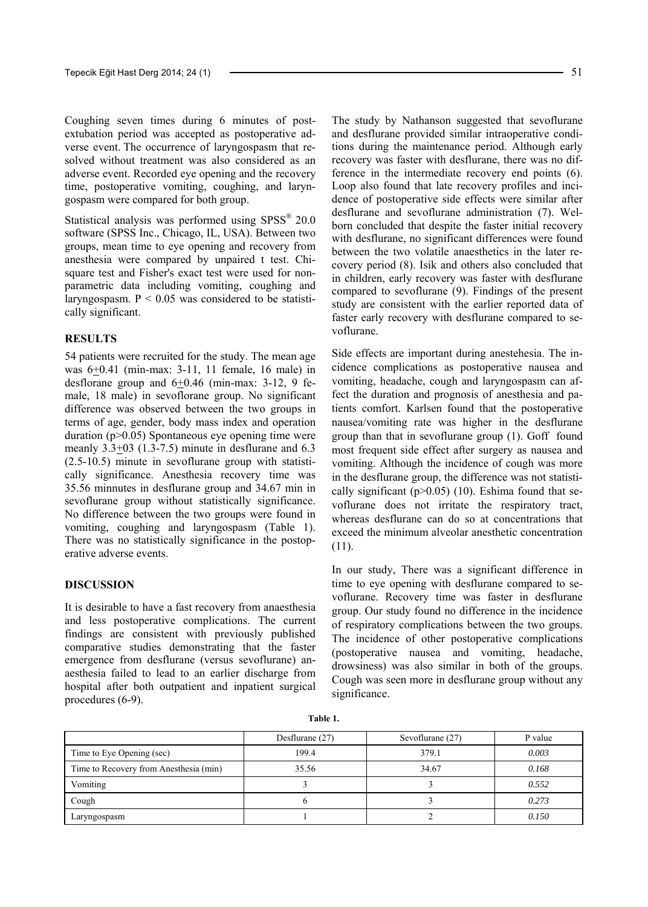Coughing seven times during 6 minutes of postextubation period was accepted as postoperative adverse event. The occurrence of laryngospasm that resolved without treatment was also considered as an adverse event. Recorded eye opening and the recovery time, postoperative vomiting, coughing, and laryngospasm were compared for both group.

Statistical analysis was performed using  $SPSS^{\circledast}$  20.0 software (SPSS Inc., Chicago, IL, USA). Between two groups, mean time to eye opening and recovery from anesthesia were compared by unpaired t test. Chisquare test and Fisher's exact test were used for nonparametric data including vomiting, coughing and laryngospasm.  $P < 0.05$  was considered to be statistically significant.

#### **RESULTS**

54 patients were recruited for the study. The mean age was 6+0.41 (min-max: 3-11, 11 female, 16 male) in desflorane group and 6+0.46 (min-max: 3-12, 9 female, 18 male) in sevoflorane group. No significant difference was observed between the two groups in terms of age, gender, body mass index and operation duration  $(p>0.05)$  Spontaneous eye opening time were meanly 3.3+03 (1.3-7.5) minute in desflurane and 6.3 (2.5-10.5) minute in sevoflurane group with statistically significance. Anesthesia recovery time was 35.56 minnutes in desflurane group and 34.67 min in sevoflurane group without statistically significance. No difference between the two groups were found in vomiting, coughing and laryngospasm (Table 1). There was no statistically significance in the postoperative adverse events.

# **DISCUSSION**

It is desirable to have a fast recovery from anaesthesia and less postoperative complications. The current findings are consistent with previously published comparative studies demonstrating that the faster emergence from desflurane (versus sevoflurane) anaesthesia failed to lead to an earlier discharge from hospital after both outpatient and inpatient surgical procedures  $(6-9)$ .

The study by Nathanson suggested that sevoflurane and desflurane provided similar intraoperative conditions during the maintenance period. Although early recovery was faster with desflurane, there was no difference in the intermediate recovery end points (6). Loop also found that late recovery profiles and incidence of postoperative side effects were similar after desflurane and sevoflurane administration (7). Welborn concluded that despite the faster initial recovery with desflurane, no significant differences were found between the two volatile anaesthetics in the later recovery period (8). Isik and others also concluded that in children, early recovery was faster with desflurane compared to sevoflurane (9). Findings of the present study are consistent with the earlier reported data of

Side effects are important during anestehesia. The incidence complications as postoperative nausea and vomiting, headache, cough and laryngospasm can affect the duration and prognosis of anesthesia and patients comfort. Karlsen found that the postoperative nausea/vomiting rate was higher in the desflurane group than that in sevoflurane group (1). Goff found most frequent side effect after surgery as nausea and vomiting. Although the incidence of cough was more in the desflurane group, the difference was not statistically significant  $(p>0.05)$  (10). Eshima found that sevoflurane does not irritate the respiratory tract, whereas desflurane can do so at concentrations that exceed the minimum alveolar anesthetic concentration (11).

faster early recovery with desflurane compared to se-

voflurane.

In our study, There was a significant difference in time to eye opening with desflurane compared to sevoflurane. Recovery time was faster in desflurane group. Our study found no difference in the incidence of respiratory complications between the two groups. The incidence of other postoperative complications (postoperative nausea and vomiting, headache, drowsiness) was also similar in both of the groups. Cough was seen more in desflurane group without any significance.

|                                        | Desflurane $(27)$ | Sevoflurane (27) | P value |
|----------------------------------------|-------------------|------------------|---------|
| Time to Eye Opening (sec)              | 199.4             | 379.1            | 0.003   |
| Time to Recovery from Anesthesia (min) | 35.56             | 34.67            | 0.168   |
| Vomiting                               |                   |                  | 0.552   |
| Cough                                  |                   |                  | 0.273   |
| Laryngospasm                           |                   |                  | 0.150   |

**Table 1.**